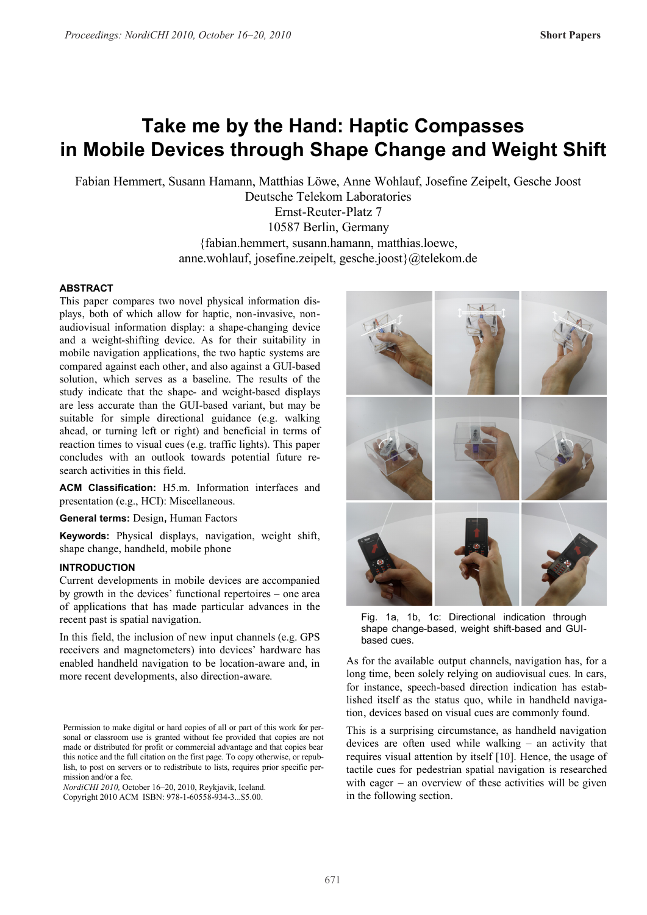# **Take me by the Hand: Haptic Compasses in Mobile Devices through Shape Change and Weight Shift**

Fabian Hemmert, Susann Hamann, Matthias Löwe, Anne Wohlauf, Josefine Zeipelt, Gesche Joost

Deutsche Telekom Laboratories Ernst-Reuter-Platz 7 10587 Berlin, Germany {fabian.hemmert, susann.hamann, matthias.loewe, anne.wohlauf, josefine.zeipelt, gesche.joost}@telekom.de

#### **ABSTRACT**

This paper compares two novel physical information displays, both of which allow for haptic, non-invasive, nonaudiovisual information display: a shape-changing device and a weight-shifting device. As for their suitability in mobile navigation applications, the two haptic systems are compared against each other, and also against a GUI-based solution, which serves as a baseline. The results of the study indicate that the shape- and weight-based displays are less accurate than the GUI-based variant, but may be suitable for simple directional guidance (e.g. walking ahead, or turning left or right) and beneficial in terms of reaction times to visual cues (e.g. traffic lights). This paper concludes with an outlook towards potential future research activities in this field.

**ACM Classification:** H5.m. Information interfaces and presentation (e.g., HCI): Miscellaneous.

**General terms:** Design**,** Human Factors

**Keywords:** Physical displays, navigation, weight shift, shape change, handheld, mobile phone

#### **INTRODUCTION**

Current developments in mobile devices are accompanied by growth in the devices' functional repertoires – one area of applications that has made particular advances in the recent past is spatial navigation.

In this field, the inclusion of new input channels (e.g. GPS receivers and magnetometers) into devices' hardware has enabled handheld navigation to be location-aware and, in more recent developments, also direction-aware.

*NordiCHI 2010,* October 16–20, 2010, Reykjavik, Iceland. Copyright 2010 ACM ISBN: 978-1-60558-934-3...\$5.00.

Fig. 1a, 1b, 1c: Directional indication through

shape change-based, weight shift-based and GUIbased cues.

As for the available output channels, navigation has, for a long time, been solely relying on audiovisual cues. In cars, for instance, speech-based direction indication has established itself as the status quo, while in handheld navigation, devices based on visual cues are commonly found.

This is a surprising circumstance, as handheld navigation devices are often used while walking – an activity that requires visual attention by itself [10]. Hence, the usage of tactile cues for pedestrian spatial navigation is researched with eager – an overview of these activities will be given in the following section.

Permission to make digital or hard copies of all or part of this work for personal or classroom use is granted without fee provided that copies are not made or distributed for profit or commercial advantage and that copies bear this notice and the full citation on the first page. To copy otherwise, or republish, to post on servers or to redistribute to lists, requires prior specific permission and/or a fee.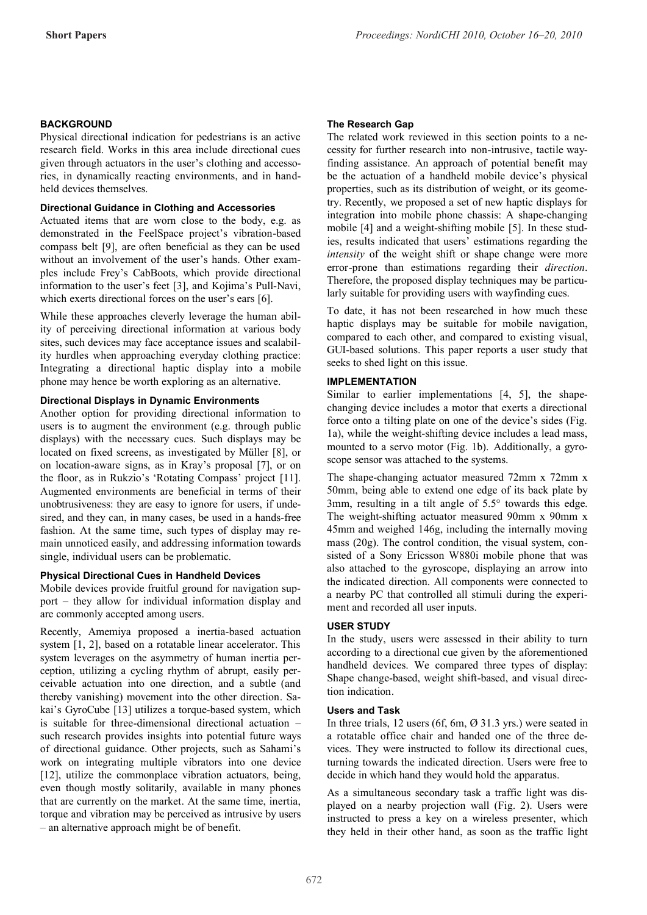## **BACKGROUND**

Physical directional indication for pedestrians is an active research field. Works in this area include directional cues given through actuators in the user's clothing and accessories, in dynamically reacting environments, and in handheld devices themselves.

## **Directional Guidance in Clothing and Accessories**

Actuated items that are worn close to the body, e.g. as demonstrated in the FeelSpace project's vibration-based compass belt [9], are often beneficial as they can be used without an involvement of the user's hands. Other examples include Frey's CabBoots, which provide directional information to the user's feet [3], and Kojima's Pull-Navi, which exerts directional forces on the user's ears [6].

While these approaches cleverly leverage the human ability of perceiving directional information at various body sites, such devices may face acceptance issues and scalability hurdles when approaching everyday clothing practice: Integrating a directional haptic display into a mobile phone may hence be worth exploring as an alternative.

#### **Directional Displays in Dynamic Environments**

Another option for providing directional information to users is to augment the environment (e.g. through public displays) with the necessary cues. Such displays may be located on fixed screens, as investigated by Müller [8], or on location-aware signs, as in Kray's proposal [7], or on the floor, as in Rukzio's 'Rotating Compass' project [11]. Augmented environments are beneficial in terms of their unobtrusiveness: they are easy to ignore for users, if undesired, and they can, in many cases, be used in a hands-free fashion. At the same time, such types of display may remain unnoticed easily, and addressing information towards single, individual users can be problematic.

## **Physical Directional Cues in Handheld Devices**

Mobile devices provide fruitful ground for navigation support – they allow for individual information display and are commonly accepted among users.

Recently, Amemiya proposed a inertia-based actuation system [1, 2], based on a rotatable linear accelerator. This system leverages on the asymmetry of human inertia perception, utilizing a cycling rhythm of abrupt, easily perceivable actuation into one direction, and a subtle (and thereby vanishing) movement into the other direction. Sakai's GyroCube [13] utilizes a torque-based system, which is suitable for three-dimensional directional actuation – such research provides insights into potential future ways of directional guidance. Other projects, such as Sahami's work on integrating multiple vibrators into one device [12], utilize the commonplace vibration actuators, being, even though mostly solitarily, available in many phones that are currently on the market. At the same time, inertia, torque and vibration may be perceived as intrusive by users – an alternative approach might be of benefit.

#### **The Research Gap**

The related work reviewed in this section points to a necessity for further research into non-intrusive, tactile wayfinding assistance. An approach of potential benefit may be the actuation of a handheld mobile device's physical properties, such as its distribution of weight, or its geometry. Recently, we proposed a set of new haptic displays for integration into mobile phone chassis: A shape-changing mobile [4] and a weight-shifting mobile [5]. In these studies, results indicated that users' estimations regarding the *intensity* of the weight shift or shape change were more error-prone than estimations regarding their *direction*. Therefore, the proposed display techniques may be particularly suitable for providing users with wayfinding cues.

To date, it has not been researched in how much these haptic displays may be suitable for mobile navigation, compared to each other, and compared to existing visual, GUI-based solutions. This paper reports a user study that seeks to shed light on this issue.

## **IMPLEMENTATION**

Similar to earlier implementations [4, 5], the shapechanging device includes a motor that exerts a directional force onto a tilting plate on one of the device's sides (Fig. 1a), while the weight-shifting device includes a lead mass, mounted to a servo motor (Fig. 1b). Additionally, a gyroscope sensor was attached to the systems.

The shape-changing actuator measured 72mm x 72mm x 50mm, being able to extend one edge of its back plate by 3mm, resulting in a tilt angle of 5.5° towards this edge. The weight-shifting actuator measured 90mm x 90mm x 45mm and weighed 146g, including the internally moving mass (20g). The control condition, the visual system, consisted of a Sony Ericsson W880i mobile phone that was also attached to the gyroscope, displaying an arrow into the indicated direction. All components were connected to a nearby PC that controlled all stimuli during the experiment and recorded all user inputs.

## **USER STUDY**

In the study, users were assessed in their ability to turn according to a directional cue given by the aforementioned handheld devices. We compared three types of display: Shape change-based, weight shift-based, and visual direction indication.

#### **Users and Task**

In three trials, 12 users (6f, 6m, Ø 31.3 yrs.) were seated in a rotatable office chair and handed one of the three devices. They were instructed to follow its directional cues, turning towards the indicated direction. Users were free to decide in which hand they would hold the apparatus.

As a simultaneous secondary task a traffic light was displayed on a nearby projection wall (Fig. 2). Users were instructed to press a key on a wireless presenter, which they held in their other hand, as soon as the traffic light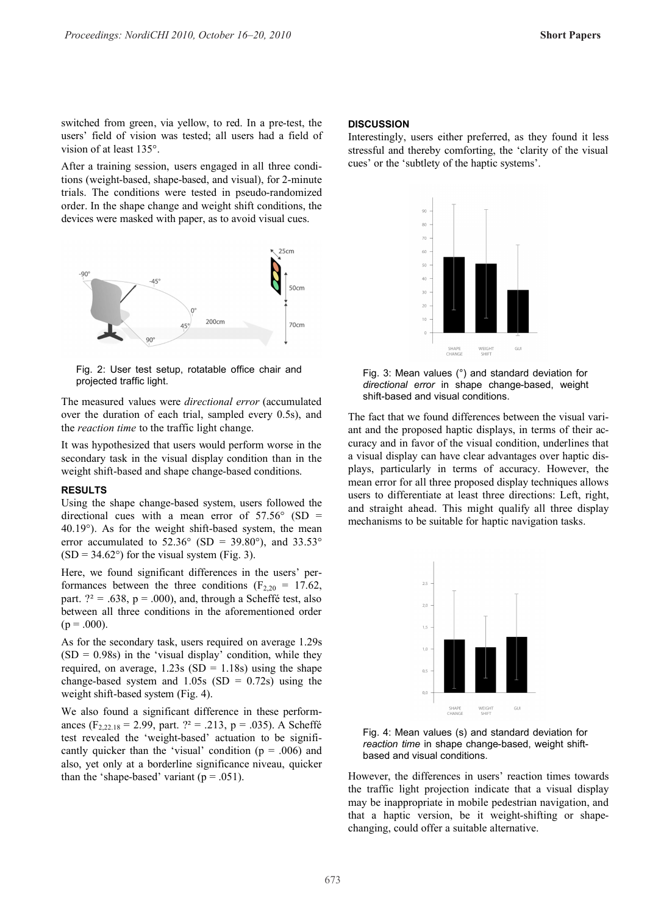switched from green, via yellow, to red. In a pre-test, the users' field of vision was tested; all users had a field of vision of at least 135°.

After a training session, users engaged in all three conditions (weight-based, shape-based, and visual), for 2-minute trials. The conditions were tested in pseudo-randomized order. In the shape change and weight shift conditions, the devices were masked with paper, as to avoid visual cues.



Fig. 2: User test setup, rotatable office chair and projected traffic light.

The measured values were *directional error* (accumulated over the duration of each trial, sampled every 0.5s), and the *reaction time* to the traffic light change.

It was hypothesized that users would perform worse in the secondary task in the visual display condition than in the weight shift-based and shape change-based conditions.

#### **RESULTS**

Using the shape change-based system, users followed the directional cues with a mean error of  $57.56^{\circ}$  (SD = 40.19°). As for the weight shift-based system, the mean error accumulated to  $52.36^{\circ}$  (SD = 39.80°), and 33.53°  $(SD = 34.62^{\circ})$  for the visual system (Fig. 3).

Here, we found significant differences in the users' performances between the three conditions ( $F_{2,20} = 17.62$ , part.  $?^2 = .638$ ,  $p = .000$ ), and, through a Scheffé test, also between all three conditions in the aforementioned order  $(p = .000)$ .

As for the secondary task, users required on average 1.29s  $(SD = 0.98s)$  in the 'visual display' condition, while they required, on average,  $1.23s$  (SD = 1.18s) using the shape change-based system and  $1.05s$  (SD = 0.72s) using the weight shift-based system (Fig. 4).

We also found a significant difference in these performances (F<sub>2,22.18</sub> = 2.99, part. ?<sup>2</sup> = .213, p = .035). A Scheffé test revealed the 'weight-based' actuation to be significantly quicker than the 'visual' condition ( $p = .006$ ) and also, yet only at a borderline significance niveau, quicker than the 'shape-based' variant ( $p = .051$ ).

#### **DISCUSSION**

Interestingly, users either preferred, as they found it less stressful and thereby comforting, the 'clarity of the visual cues' or the 'subtlety of the haptic systems'.



Fig. 3: Mean values (°) and standard deviation for *directional error* in shape change-based, weight shift-based and visual conditions.

The fact that we found differences between the visual variant and the proposed haptic displays, in terms of their accuracy and in favor of the visual condition, underlines that a visual display can have clear advantages over haptic displays, particularly in terms of accuracy. However, the mean error for all three proposed display techniques allows users to differentiate at least three directions: Left, right, and straight ahead. This might qualify all three display mechanisms to be suitable for haptic navigation tasks.



Fig. 4: Mean values (s) and standard deviation for *reaction time* in shape change-based, weight shiftbased and visual conditions.

However, the differences in users' reaction times towards the traffic light projection indicate that a visual display may be inappropriate in mobile pedestrian navigation, and that a haptic version, be it weight-shifting or shapechanging, could offer a suitable alternative.